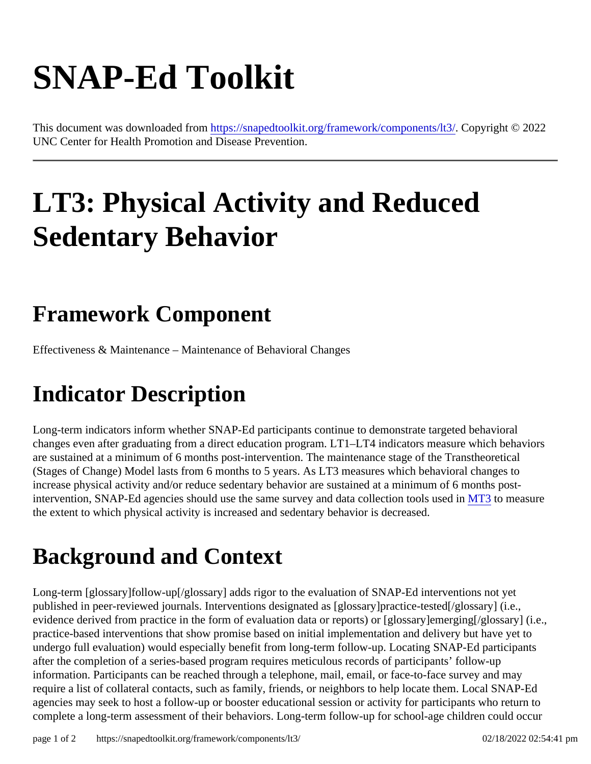# SNAP-Ed Toolkit

This document was downloaded fr[om https://snapedtoolkit.org/framework/components](https://snapedtoolkit.org/framework/components/lt3/)/lC30 pyright © 2022 UNC Center for Health Promotion and Disease Prevention.

## LT3: Physical Activity and Reduced Sedentary Behavior

#### Framework Component

Effectiveness & Maintenance – Maintenance of Behavioral Changes

#### Indicator Description

Long-term indicators inform whether SNAP-Ed participants continue to demonstrate targeted behavioral changes even after graduating from a direct education program. LT1–LT4 indicators measure which behaviors are sustained at a minimum of 6 months post-intervention. The maintenance stage of the Transtheoretical (Stages of Change) Model lasts from 6 months to 5 years. As LT3 measures which behavioral changes to increase physical activity and/or reduce sedentary behavior are sustained at a minimum of 6 months postintervention, SNAP-Ed agencies should use the same survey and data collection tools/US et to measure the extent to which physical activity is increased and sedentary behavior is decreased.

#### Background and Context

Long-term [glossary]follow-up[/glossary] adds rigor to the evaluation of SNAP-Ed interventions not yet published in peer-reviewed journals. Interventions designated as [glossary]practice-tested[/glossary] (i.e., evidence derived from practice in the form of evaluation data or reports) or [glossary]emerging[/glossary] (i.e. practice-based interventions that show promise based on initial implementation and delivery but have yet to undergo full evaluation) would especially benefit from long-term follow-up. Locating SNAP-Ed participants after the completion of a series-based program requires meticulous records of participants' follow-up information. Participants can be reached through a telephone, mail, email, or face-to-face survey and may require a list of collateral contacts, such as family, friends, or neighbors to help locate them. Local SNAP-Ed agencies may seek to host a follow-up or booster educational session or activity for participants who return to complete a long-term assessment of their behaviors. Long-term follow-up for school-age children could occur